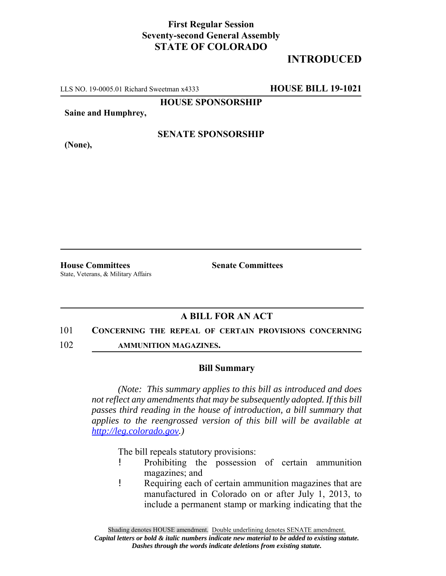## **First Regular Session Seventy-second General Assembly STATE OF COLORADO**

# **INTRODUCED**

LLS NO. 19-0005.01 Richard Sweetman x4333 **HOUSE BILL 19-1021**

**HOUSE SPONSORSHIP**

**Saine and Humphrey,**

**(None),**

### **SENATE SPONSORSHIP**

**House Committees Senate Committees** State, Veterans, & Military Affairs

### **A BILL FOR AN ACT**

#### 101 **CONCERNING THE REPEAL OF CERTAIN PROVISIONS CONCERNING**

102 **AMMUNITION MAGAZINES.**

#### **Bill Summary**

*(Note: This summary applies to this bill as introduced and does not reflect any amendments that may be subsequently adopted. If this bill passes third reading in the house of introduction, a bill summary that applies to the reengrossed version of this bill will be available at http://leg.colorado.gov.)*

The bill repeals statutory provisions:

- ! Prohibiting the possession of certain ammunition magazines; and
- ! Requiring each of certain ammunition magazines that are manufactured in Colorado on or after July 1, 2013, to include a permanent stamp or marking indicating that the